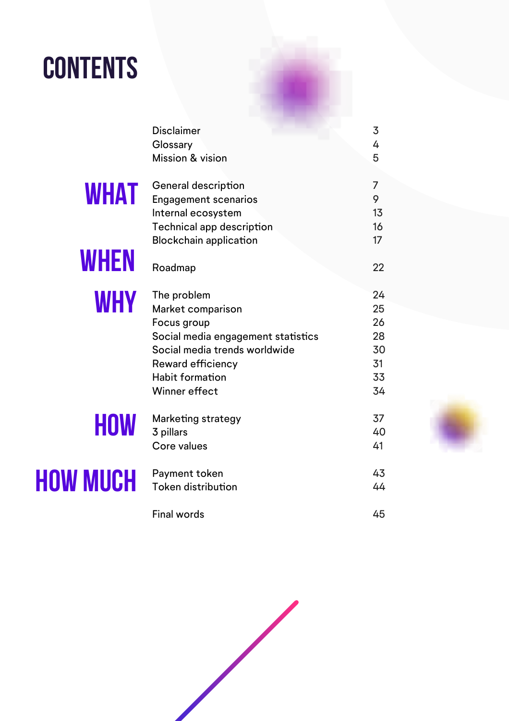### **Contents**

|                 | <b>Disclaimer</b>                  | 3              |
|-----------------|------------------------------------|----------------|
|                 | Glossary                           | 4              |
|                 | Mission & vision                   | 5              |
|                 | General description                | $\overline{7}$ |
| <b>WHAT</b>     | <b>Engagement scenarios</b>        | 9              |
|                 | Internal ecosystem                 | 13             |
|                 | <b>Technical app description</b>   | 16             |
|                 | <b>Blockchain application</b>      | 17             |
| <b>WHEN</b>     | Roadmap                            | 22             |
| <b>WHY</b>      | The problem                        | 24             |
|                 | Market comparison                  | 25             |
|                 | Focus group                        | 26             |
|                 | Social media engagement statistics | 28             |
|                 | Social media trends worldwide      | 30             |
|                 | Reward efficiency                  | 31             |
|                 | <b>Habit formation</b>             | 33             |
|                 | Winner effect                      | 34             |
| <b>HOW</b>      | <b>Marketing strategy</b>          | 37             |
|                 | 3 pillars                          | 40             |
|                 | Core values                        | 41             |
| <b>HOW MUCH</b> | Payment token                      | 43             |
|                 | <b>Token distribution</b>          | 44             |
|                 | <b>Final words</b>                 | 45             |

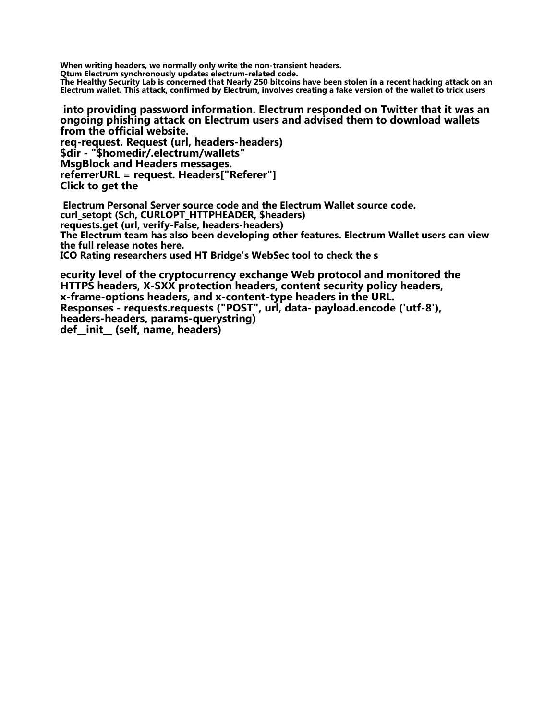**When writing headers, we normally only write the non-transient headers.**

**Qtum Electrum synchronously updates electrum-related code.**

**The Healthy Security Lab is concerned that Nearly 250 bitcoins have been stolen in a recent hacking attack on an Electrum wallet. This attack, confirmed by Electrum, involves creating a fake version of the wallet to trick users**

**into providing password information. Electrum responded on Twitter that it was an ongoing phishing attack on Electrum users and advised them to download wallets from the official website.**

**req-request. Request (url, headers-headers) \$dir - "\$homedir/.electrum/wallets" MsgBlock and Headers messages. referrerURL = request. Headers["Referer"] Click to get the**

**Electrum Personal Server source code and the Electrum Wallet source code. curl\_setopt (\$ch, CURLOPT\_HTTPHEADER, \$headers) requests.get (url, verify-False, headers-headers) The Electrum team has also been developing other features. Electrum Wallet users can view the full release notes here. ICO Rating researchers used HT Bridge's WebSec tool to check the s**

**ecurity level of the cryptocurrency exchange Web protocol and monitored the HTTPS headers, X-SXX protection headers, content security policy headers, x-frame-options headers, and x-content-type headers in the URL. Responses - requests.requests ("POST", url, data- payload.encode ('utf-8'), headers-headers, params-querystring) def\_\_init\_\_ (self, name, headers)**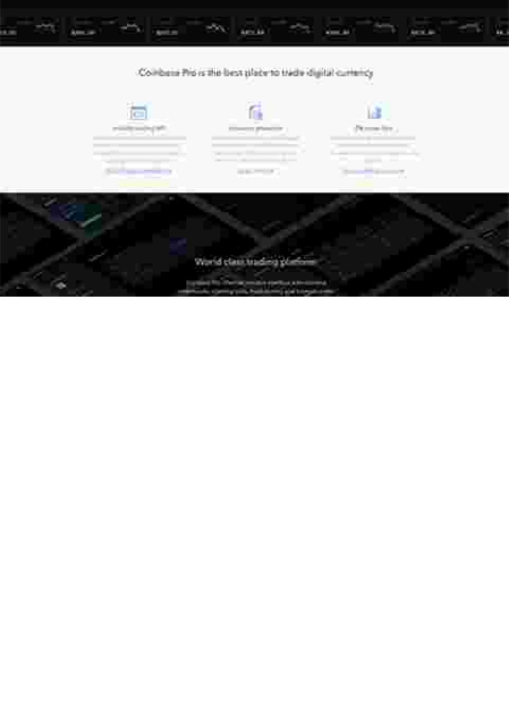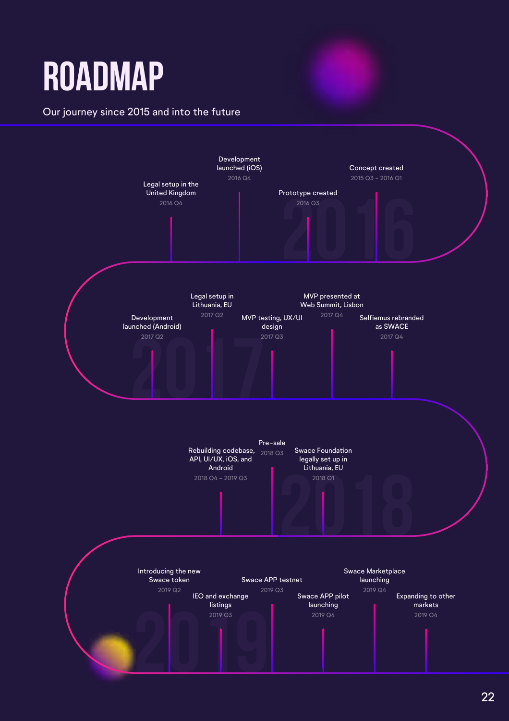# **Roadmap**

#### Our journey since 2015 and into the future

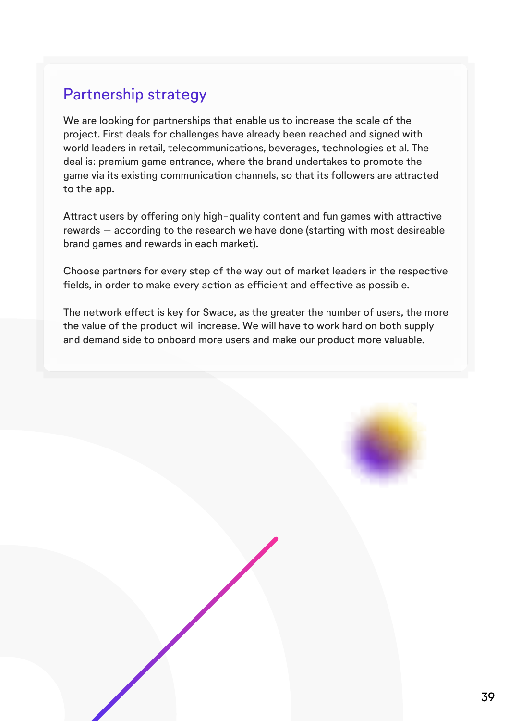#### Partnership strategy

We are looking for partnerships that enable us to increase the scale of the project. First deals for challenges have already been reached and signed with world leaders in retail, telecommunications, beverages, technologies et al. The deal is: premium game entrance, where the brand undertakes to promote the game via its existing communication channels, so that its followers are attracted to the app.

Attract users by offering only high-quality content and fun games with attractive rewards – according to the research we have done (starting with most desireable brand games and rewards in each market).

Choose partners for every step of the way out of market leaders in the respective fields, in order to make every action as efficient and effective as possible.

The network efect is key for Swace, as the greater the number of users, the more the value of the product will increase. We will have to work hard on both supply and demand side to onboard more users and make our product more valuable.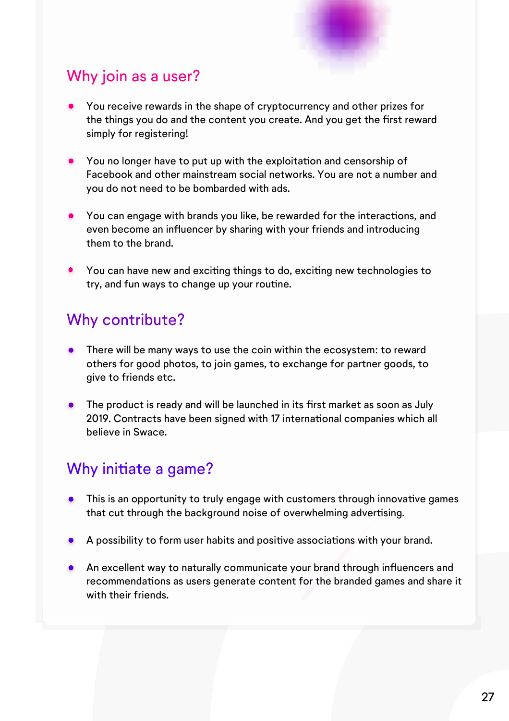

### Why join as a user?

- You receive rewards in the shape of cryptocurrency and other prizes for the things you do and the content you create. And you get the first reward simply for registering!
- You no longer have to put up with the exploitation and censorship of Facebook and other mainstream social networks. You are not a number and you do not need to be bombarded with ads.
- You can engage with brands you like, be rewarded for the interactions, and even become an infuencer by sharing with your friends and introducing them to the brand.
- You can have new and exciting things to do, exciting new technologies to try, and fun ways to change up your routine.

#### Why contribute?

- There will be many ways to use the coin within the ecosystem: to reward others for good photos, to join games, to exchange for partner goods, to give to friends etc.
- The product is ready and will be launched in its first market as soon as July 2019. Contracts have been signed with 17 international companies which all believe in Swace.

### Why initiate a game?

- $\bullet$ This is an opportunity to truly engage with customers through innovatve games that cut through the background noise of overwhelming advertising.
- A possibility to form user habits and positve associatons with your brand.
- **An excellent way to naturally communicate your brand through influencers and** recommendations as users generate content for the branded games and share it with their friends.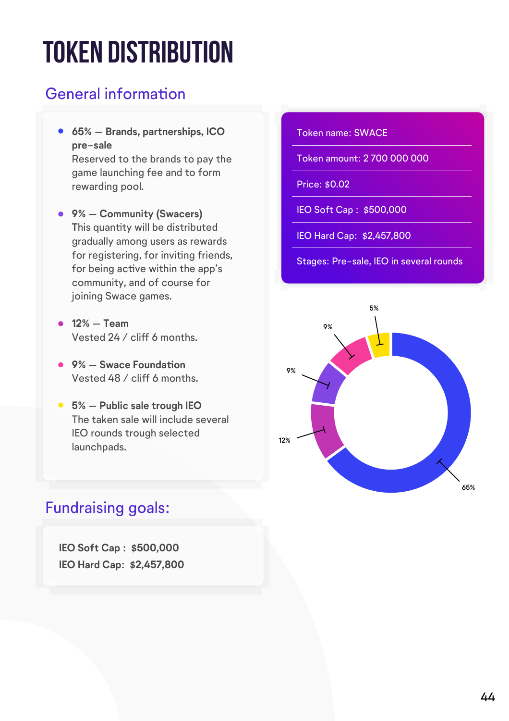# **Token distribution**

### General information

- **65% Brands, partnerships, ICO pre-sale** Reserved to the brands to pay the game launching fee and to form rewarding pool.
- **9% Community (Swacers)** This quantity will be distributed gradually among users as rewards for registering, for invitng friends, for being active within the app's community, and of course for joining Swace games.
- **12% Team** Vested 24 / cliff 6 months.
- **9% Swace Foundaton**  Vested 48 / cliff 6 months.
- **5% Public sale trough IEO** The taken sale will include several IEO rounds trough selected launchpads.

### Fundraising goals:

**IEO Soft Cap : \$500,000 IEO Hard Cap: \$2,457,800**

#### Token name: SWACE

Token amount: 2 700 000 000

Price: \$0.02

IEO Soft Cap : \$500,000

IEO Hard Cap: \$2,457,800

Stages: Pre-sale, IEO in several rounds